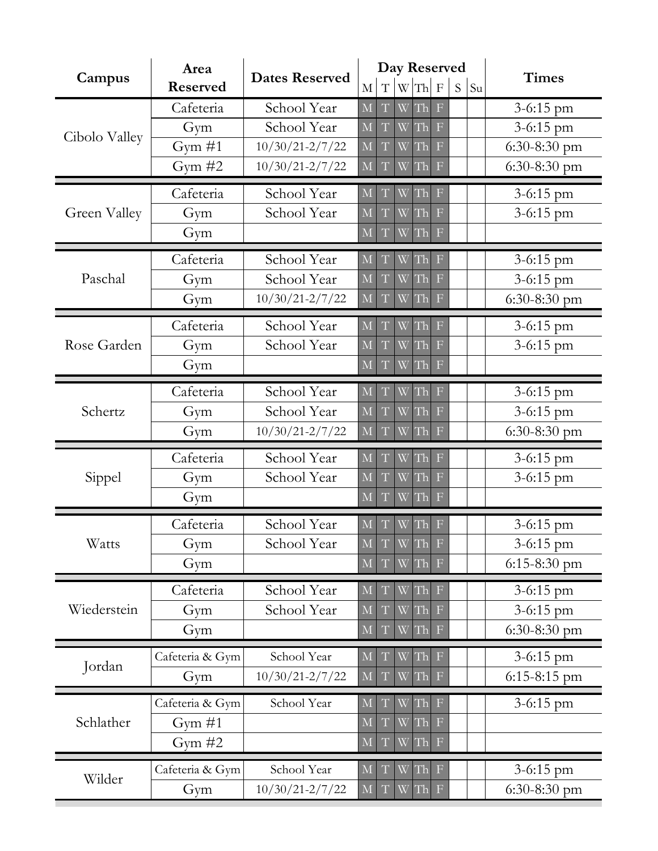|                     | Area<br><b>Reserved</b> | <b>Dates Reserved</b> |                         |             |   | Day Reserved |                           |    |    |                |
|---------------------|-------------------------|-----------------------|-------------------------|-------------|---|--------------|---------------------------|----|----|----------------|
| Campus              |                         |                       | M                       | $\mathbf T$ | W | Th           | $\mathbf F$               | S. | Su | <b>Times</b>   |
| Cibolo Valley       | Cafeteria               | School Year           | $\mathbf M$             | T           | W | Th           | $\mathbf F$               |    |    | $3 - 6:15$ pm  |
|                     | Gym                     | School Year           | $\overline{M}$          | T           | W | Th           | $\mathbf F$               |    |    | $3 - 6:15$ pm  |
|                     | Gym $#1$                | $10/30/21 - 2/7/22$   | M                       | T           | W | Th           | $\mathbf F$               |    |    | $6:30-8:30$ pm |
|                     | Gym $#2$                | $10/30/21 - 2/7/22$   | M                       | T           | W | Th           | $\mathbf F$               |    |    | $6:30-8:30$ pm |
| <b>Green Valley</b> | Cafeteria               | School Year           | M                       | T           | W | Th           | F                         |    |    | $3 - 6:15$ pm  |
|                     | Gym                     | School Year           | $\overline{\mathbf{M}}$ | T           | W | Th           | $\mathbf F$               |    |    | 3-6:15 pm      |
|                     | Gym                     |                       | M                       | T           | W | Th           | $\boldsymbol{\mathrm{F}}$ |    |    |                |
| Paschal             | Cafeteria               | School Year           | M                       | T           | W | Th           | F                         |    |    | 3-6:15 pm      |
|                     | Gym                     | School Year           | $\overline{M}$          | T           | W | Th           | $\mathbf F$               |    |    | 3-6:15 pm      |
|                     | Gym                     | $10/30/21 - 2/7/22$   | M                       | T           | W | Th           | $\boldsymbol{\mathrm{F}}$ |    |    | $6:30-8:30$ pm |
|                     | Cafeteria               | School Year           | $\overline{\mathbf{M}}$ |             | W | Th           | F                         |    |    | 3-6:15 pm      |
| Rose Garden         | Gym                     | School Year           | $\overline{\mathbf{M}}$ | T           | W | Th           | $\overline{\rm F}$        |    |    | 3-6:15 pm      |
|                     | Gym                     |                       | $\overline{\mathbf{M}}$ | T           | W | Th           | $\boldsymbol{\mathrm{F}}$ |    |    |                |
| Schertz             | Cafeteria               | School Year           | $\overline{M}$          | T           | W | Th           | $\mathbf F$               |    |    | $3 - 6:15$ pm  |
|                     | Gym                     | School Year           | $\overline{\mathbf{M}}$ | T           | W | Th           | $\overline{\mathrm{F}}$   |    |    | 3-6:15 pm      |
|                     | Gym                     | $10/30/21 - 2/7/22$   | M                       | T           | W | Th           | $\boldsymbol{\mathrm{F}}$ |    |    | $6:30-8:30$ pm |
| Sippel              | Cafeteria               | School Year           | M                       |             | W | Th           | $\mathbf F$               |    |    | 3-6:15 pm      |
|                     | Gym                     | School Year           | $\overline{\mathbf{M}}$ | T           | W | Th           | $\mathbf F$               |    |    | $3 - 6:15$ pm  |
|                     | Gym                     |                       | M                       | T           | W | Th           | $\boldsymbol{\mathrm{F}}$ |    |    |                |
| Watts               | Cafeteria               | School Year           | M                       |             | W | Th           | $\boldsymbol{\mathrm{F}}$ |    |    | $3 - 6:15$ pm  |
|                     | Gym                     | School Year           | $\mathbf M$             | T           |   | W Th F       |                           |    |    | $3 - 6:15$ pm  |
|                     | Gym                     |                       | $\overline{\mathbf{M}}$ | T           | W | Th           | $\boldsymbol{\mathrm{F}}$ |    |    | $6:15-8:30$ pm |
| Wiederstein         | Cafeteria               | School Year           | $\mathbf M$             |             | W | Th           | $\mathbb{F}$              |    |    | 3-6:15 pm      |
|                     | Gym                     | School Year           | $\mathbf M$             | T           | W | Th           | $\mathbf F$               |    |    | 3-6:15 pm      |
|                     | Gym                     |                       | $\overline{\mathbf{M}}$ | T           | W | Th           | $\boldsymbol{\mathrm{F}}$ |    |    | $6:30-8:30$ pm |
| Jordan              | Cafeteria & Gym         | School Year           | M                       | T           | W | Th           | $\mathbf F$               |    |    | 3-6:15 pm      |
|                     | Gym                     | $10/30/21 - 2/7/22$   | $\mathbf M$             | T           | W | Th           | $\boldsymbol{\mathrm{F}}$ |    |    | 6:15-8:15 pm   |
| Schlather           | Cafeteria & Gym         | School Year           | M                       |             | W | Th           | $\boldsymbol{\mathrm{F}}$ |    |    | 3-6:15 pm      |
|                     | Gym $#1$                |                       | $\overline{M}$          | T           | W | Th           | $\mathbb F$               |    |    |                |
|                     | Gym $#2$                |                       | M                       | T           | W | Th           | $\boldsymbol{\mathrm{F}}$ |    |    |                |
| Wilder              | Cafeteria & Gym         | School Year           | M                       | T           | W | Th           | $\boldsymbol{\mathrm{F}}$ |    |    | 3-6:15 pm      |
|                     | Gym                     | $10/30/21 - 2/7/22$   | $\overline{\mathbf{M}}$ | T           | W | Th           | $\mathbf F$               |    |    | $6:30-8:30$ pm |